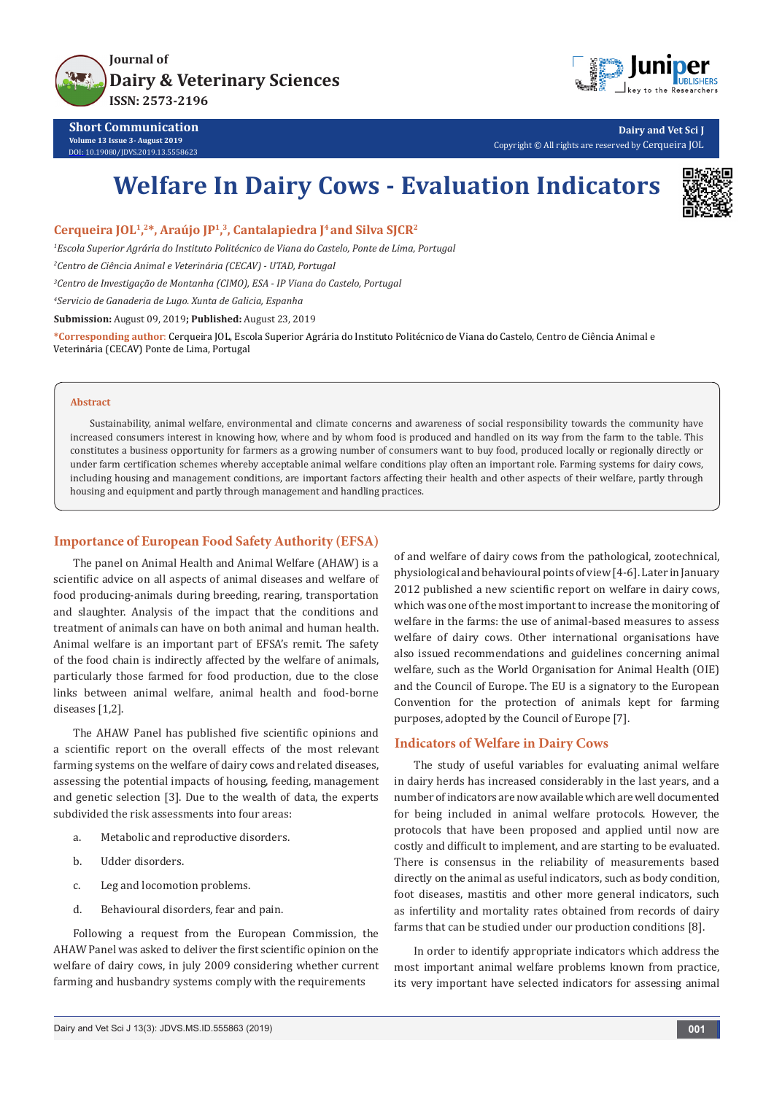

**Short Communication Volume 13 Issue 3- August 2019** DOI: [10.19080/JDVS.2019.13.5558623](http://dx.doi.org/10.19080/JDVS.2019.13.555863) **Dairy and Vet Sci J**

Copyright © All rights are reserved by Cerqueira JOL

# **Welfare In Dairy Cows - Evaluation Indicators**



## **Cerqueira JOL1, 2\*, Araújo JP1, 3, Cantalapiedra J4 and Silva SJCR2**

*1 Escola Superior Agrária do Instituto Politécnico de Viana do Castelo, Ponte de Lima, Portugal*

*2 Centro de Ciência Animal e Veterinária (CECAV) - UTAD, Portugal*

*3 Centro de Investigação de Montanha (CIMO), ESA - IP Viana do Castelo, Portugal*

*4 Servicio de Ganaderia de Lugo. Xunta de Galicia, Espanha*

**Submission:** August 09, 2019**; Published:** August 23, 2019

**\*Corresponding author**: Cerqueira JOL, Escola Superior Agrária do Instituto Politécnico de Viana do Castelo, Centro de Ciência Animal e Veterinária (CECAV) Ponte de Lima, Portugal

#### **Abstract**

Sustainability, animal welfare, environmental and climate concerns and awareness of social responsibility towards the community have increased consumers interest in knowing how, where and by whom food is produced and handled on its way from the farm to the table. This constitutes a business opportunity for farmers as a growing number of consumers want to buy food, produced locally or regionally directly or under farm certification schemes whereby acceptable animal welfare conditions play often an important role. Farming systems for dairy cows, including housing and management conditions, are important factors affecting their health and other aspects of their welfare, partly through housing and equipment and partly through management and handling practices.

## **Importance of European Food Safety Authority (EFSA)**

The panel on Animal Health and Animal Welfare (AHAW) is a scientific advice on all aspects of animal diseases and welfare of food producing-animals during breeding, rearing, transportation and slaughter. Analysis of the impact that the conditions and treatment of animals can have on both animal and human health. Animal welfare is an important part of EFSA's remit. The safety of the food chain is indirectly affected by the welfare of animals, particularly those farmed for food production, due to the close links between animal welfare, animal health and food-borne diseases [1,2].

The AHAW Panel has published five scientific opinions and a scientific report on the overall effects of the most relevant farming systems on the welfare of dairy cows and related diseases, assessing the potential impacts of housing, feeding, management and genetic selection [3]. Due to the wealth of data, the experts subdivided the risk assessments into four areas:

- a. Metabolic and reproductive disorders.
- b. Udder disorders.
- c. Leg and locomotion problems.
- d. Behavioural disorders, fear and pain.

Following a request from the European Commission, the AHAW Panel was asked to deliver the first scientific opinion on the welfare of dairy cows, in july 2009 considering whether current farming and husbandry systems comply with the requirements

of and welfare of dairy cows from the pathological, zootechnical, physiological and behavioural points of view [4-6]. Later in January 2012 published a new scientific report on welfare in dairy cows, which was one of the most important to increase the monitoring of welfare in the farms: the use of animal-based measures to assess welfare of dairy cows. Other international organisations have also issued recommendations and guidelines concerning animal welfare, such as the World Organisation for Animal Health (OIE) and the Council of Europe. The EU is a signatory to the European Convention for the protection of animals kept for farming purposes, adopted by the Council of Europe [7].

#### **Indicators of Welfare in Dairy Cows**

The study of useful variables for evaluating animal welfare in dairy herds has increased considerably in the last years, and a number of indicators are now available which are well documented for being included in animal welfare protocols. However, the protocols that have been proposed and applied until now are costly and difficult to implement, and are starting to be evaluated. There is consensus in the reliability of measurements based directly on the animal as useful indicators, such as body condition, foot diseases, mastitis and other more general indicators, such as infertility and mortality rates obtained from records of dairy farms that can be studied under our production conditions [8].

In order to identify appropriate indicators which address the most important animal welfare problems known from practice, its very important have selected indicators for assessing animal